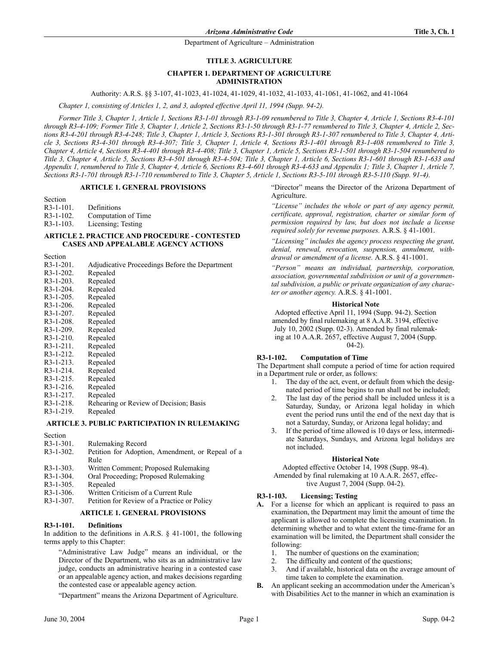### **TITLE 3. AGRICULTURE**

## **CHAPTER 1. DEPARTMENT OF AGRICULTURE ADMINISTRATION**

Authority: A.R.S. §§ 3-107, 41-1023, 41-1024, 41-1029, 41-1032, 41-1033, 41-1061, 41-1062, and 41-1064

*Chapter 1, consisting of Articles 1, 2, and 3, adopted effective April 11, 1994 (Supp. 94-2).*

*Former Title 3, Chapter 1, Article 1, Sections R3-1-01 through R3-1-09 renumbered to Title 3, Chapter 4, Article 1, Sections R3-4-101 through R3-4-109; Former Title 3, Chapter 1, Article 2, Sections R3-1-50 through R3-1-77 renumbered to Title 3, Chapter 4, Article 2, Sections R3-4-201 through R3-4-248; Title 3, Chapter 1, Article 3, Sections R3-1-301 through R3-1-307 renumbered to Title 3, Chapter 4, Article 3, Sections R3-4-301 through R3-4-307; Title 3, Chapter 1, Article 4, Sections R3-1-401 through R3-1-408 renumbered to Title 3, Chapter 4, Article 4, Sections R3-4-401 through R3-4-408; Title 3, Chapter 1, Article 5, Sections R3-1-501 through R3-1-504 renumbered to Title 3, Chapter 4, Article 5, Sections R3-4-501 through R3-4-504; Title 3, Chapter 1, Article 6, Sections R3-1-601 through R3-1-633 and Appendix 1, renumbered to Title 3, Chapter 4, Article 6, Sections R3-4-601 through R3-4-633 and Appendix 1; Title 3, Chapter 1, Article 7, Sections R3-1-701 through R3-1-710 renumbered to Title 3, Chapter 5, Article 1, Sections R3-5-101 through R3-5-110 (Supp. 91-4).*

## **ARTICLE 1. GENERAL PROVISIONS**

Section

R3-1-101. Definitions<br>R3-1-102. Computation

- Computation of Time
- R3-1-103. Licensing; Testing

### **ARTICLE 2. PRACTICE AND PROCEDURE - CONTESTED CASES AND APPEALABLE AGENCY ACTIONS**

Section

| $R3-1-201$ . | Adjudicative Proceedings Before the Department |
|--------------|------------------------------------------------|
| $R3-1-202$ . | Repealed                                       |
| $R3-1-203$ . | Repealed                                       |
| $R3-1-204$ . | Repealed                                       |
| $R3-1-205$ . | Repealed                                       |
| $R3-1-206$ . | Repealed                                       |
| $R3-1-207$ . | Repealed                                       |
| $R3-1-208$ . | Repealed                                       |
| $R3-1-209$ . | Repealed                                       |
| $R3-1-210$ . | Repealed                                       |
| $R3-1-211$ . | Repealed                                       |
| $R3-1-212$ . | Repealed                                       |
| $R3-1-213$ . | Repealed                                       |
| $R3-1-214$ . | Repealed                                       |
| $R3-1-215$ . | Repealed                                       |
| $R3-1-216$ . | Repealed                                       |
| $R3-1-217$ . | Repealed                                       |
| $R3-1-218$ . | Rehearing or Review of Decision; Basis         |
| R3-1-219.    | Repealed                                       |
|              | ARTICLE 3. PUBLIC PARTICIPATION IN RULEMAKING  |

Section

| $R3-1-301$ . | <b>Rulemaking Record</b>                         |
|--------------|--------------------------------------------------|
| $R3-1-302$ . | Petition for Adoption, Amendment, or Repeal of a |
|              | Rule                                             |
| $R3-1-303$ . | Written Comment; Proposed Rulemaking             |
| $R3-1-304.$  | Oral Proceeding; Proposed Rulemaking             |
| $R3-1-305$ . | Repealed                                         |
| $R3-1-306.$  | Written Criticism of a Current Rule              |
| $R3-1-307$ . | Petition for Review of a Practice or Policy      |
|              |                                                  |

### **ARTICLE 1. GENERAL PROVISIONS**

## **R3-1-101. Definitions**

In addition to the definitions in A.R.S. § 41-1001, the following terms apply to this Chapter:

"Administrative Law Judge" means an individual, or the Director of the Department, who sits as an administrative law judge, conducts an administrative hearing in a contested case or an appealable agency action, and makes decisions regarding the contested case or appealable agency action.

"Department" means the Arizona Department of Agriculture.

"Director" means the Director of the Arizona Department of Agriculture.

*"License" includes the whole or part of any agency permit, certificate, approval, registration, charter or similar form of permission required by law, but does not include a license required solely for revenue purposes.* A.R.S. § 41-1001.

*"Licensing" includes the agency process respecting the grant, denial, renewal, revocation, suspension, annulment, withdrawal or amendment of a license.* A.R.S. § 41-1001.

*"Person" means an individual, partnership, corporation, association, governmental subdivision or unit of a governmental subdivision, a public or private organization of any character or another agency.* A.R.S. § 41-1001.

### **Historical Note**

Adopted effective April 11, 1994 (Supp. 94-2). Section amended by final rulemaking at 8 A.A.R. 3194, effective July 10, 2002 (Supp. 02-3). Amended by final rulemaking at 10 A.A.R. 2657, effective August 7, 2004 (Supp.  $(04-2)$ .

### **R3-1-102. Computation of Time**

The Department shall compute a period of time for action required in a Department rule or order, as follows:

- 1. The day of the act, event, or default from which the designated period of time begins to run shall not be included;
- 2. The last day of the period shall be included unless it is a Saturday, Sunday, or Arizona legal holiday in which event the period runs until the end of the next day that is not a Saturday, Sunday, or Arizona legal holiday; and
- 3. If the period of time allowed is 10 days or less, intermediate Saturdays, Sundays, and Arizona legal holidays are not included.

#### **Historical Note**

Adopted effective October 14, 1998 (Supp. 98-4). Amended by final rulemaking at 10 A.A.R. 2657, effective August 7, 2004 (Supp. 04-2).

### **R3-1-103. Licensing; Testing**

- **A.** For a license for which an applicant is required to pass an examination, the Department may limit the amount of time the applicant is allowed to complete the licensing examination. In determining whether and to what extent the time-frame for an examination will be limited, the Department shall consider the following:
	- 1. The number of questions on the examination;
	- 2. The difficulty and content of the questions;
	- 3. And if available, historical data on the average amount of time taken to complete the examination.
- **B.** An applicant seeking an accommodation under the American's with Disabilities Act to the manner in which an examination is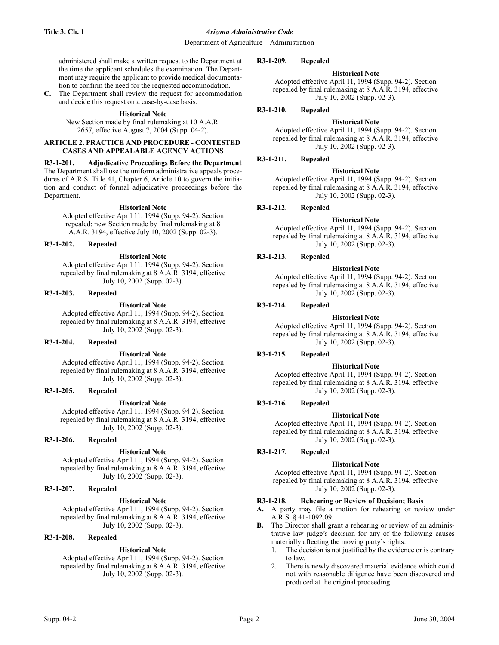administered shall make a written request to the Department at the time the applicant schedules the examination. The Department may require the applicant to provide medical documentation to confirm the need for the requested accommodation.

**C.** The Department shall review the request for accommodation and decide this request on a case-by-case basis.

### **Historical Note**

New Section made by final rulemaking at 10 A.A.R. 2657, effective August 7, 2004 (Supp. 04-2).

## **ARTICLE 2. PRACTICE AND PROCEDURE - CONTESTED CASES AND APPEALABLE AGENCY ACTIONS**

## **R3-1-201. Adjudicative Proceedings Before the Department** The Department shall use the uniform administrative appeals proce-

dures of A.R.S. Title 41, Chapter 6, Article 10 to govern the initiation and conduct of formal adjudicative proceedings before the Department.

## **Historical Note**

Adopted effective April 11, 1994 (Supp. 94-2). Section repealed; new Section made by final rulemaking at 8 A.A.R. 3194, effective July 10, 2002 (Supp. 02-3).

### **R3-1-202. Repealed**

### **Historical Note**

Adopted effective April 11, 1994 (Supp. 94-2). Section repealed by final rulemaking at 8 A.A.R. 3194, effective July 10, 2002 (Supp. 02-3).

#### **R3-1-203. Repealed**

### **Historical Note**

Adopted effective April 11, 1994 (Supp. 94-2). Section repealed by final rulemaking at 8 A.A.R. 3194, effective July 10, 2002 (Supp. 02-3).

### **R3-1-204. Repealed**

### **Historical Note**

Adopted effective April 11, 1994 (Supp. 94-2). Section repealed by final rulemaking at 8 A.A.R. 3194, effective July 10, 2002 (Supp. 02-3).

#### **R3-1-205. Repealed**

### **Historical Note**

Adopted effective April 11, 1994 (Supp. 94-2). Section repealed by final rulemaking at 8 A.A.R. 3194, effective July 10, 2002 (Supp. 02-3).

### **R3-1-206. Repealed**

## **Historical Note**

Adopted effective April 11, 1994 (Supp. 94-2). Section repealed by final rulemaking at 8 A.A.R. 3194, effective July 10, 2002 (Supp. 02-3).

# **R3-1-207. Repealed**

### **Historical Note**

Adopted effective April 11, 1994 (Supp. 94-2). Section repealed by final rulemaking at 8 A.A.R. 3194, effective July 10, 2002 (Supp. 02-3).

# **R3-1-208. Repealed**

### **Historical Note**

Adopted effective April 11, 1994 (Supp. 94-2). Section repealed by final rulemaking at 8 A.A.R. 3194, effective July 10, 2002 (Supp. 02-3).

#### **R3-1-209. Repealed**

## **Historical Note**

Adopted effective April 11, 1994 (Supp. 94-2). Section repealed by final rulemaking at 8 A.A.R. 3194, effective July 10, 2002 (Supp. 02-3).

## **R3-1-210. Repealed**

#### **Historical Note**

Adopted effective April 11, 1994 (Supp. 94-2). Section repealed by final rulemaking at 8 A.A.R. 3194, effective July 10, 2002 (Supp. 02-3).

### **R3-1-211. Repealed**

### **Historical Note**

Adopted effective April 11, 1994 (Supp. 94-2). Section repealed by final rulemaking at 8 A.A.R. 3194, effective July 10, 2002 (Supp. 02-3).

### **R3-1-212. Repealed**

## **Historical Note**

Adopted effective April 11, 1994 (Supp. 94-2). Section repealed by final rulemaking at 8 A.A.R. 3194, effective July 10, 2002 (Supp. 02-3).

# **R3-1-213. Repealed**

### **Historical Note**

Adopted effective April 11, 1994 (Supp. 94-2). Section repealed by final rulemaking at 8 A.A.R. 3194, effective July 10, 2002 (Supp. 02-3).

# **R3-1-214. Repealed**

#### **Historical Note**

Adopted effective April 11, 1994 (Supp. 94-2). Section repealed by final rulemaking at 8 A.A.R. 3194, effective July 10, 2002 (Supp. 02-3).

# **R3-1-215. Repealed**

### **Historical Note**

Adopted effective April 11, 1994 (Supp. 94-2). Section repealed by final rulemaking at 8 A.A.R. 3194, effective July 10, 2002 (Supp. 02-3).

# **R3-1-216. Repealed**

**Historical Note** Adopted effective April 11, 1994 (Supp. 94-2). Section repealed by final rulemaking at 8 A.A.R. 3194, effective July 10, 2002 (Supp. 02-3).

# **R3-1-217. Repealed**

### **Historical Note**

Adopted effective April 11, 1994 (Supp. 94-2). Section repealed by final rulemaking at 8 A.A.R. 3194, effective July 10, 2002 (Supp. 02-3).

## **R3-1-218. Rehearing or Review of Decision; Basis**

- **A.** A party may file a motion for rehearing or review under A.R.S. § 41-1092.09.
- **B.** The Director shall grant a rehearing or review of an administrative law judge's decision for any of the following causes materially affecting the moving party's rights:
	- 1. The decision is not justified by the evidence or is contrary to law.
	- 2. There is newly discovered material evidence which could not with reasonable diligence have been discovered and produced at the original proceeding.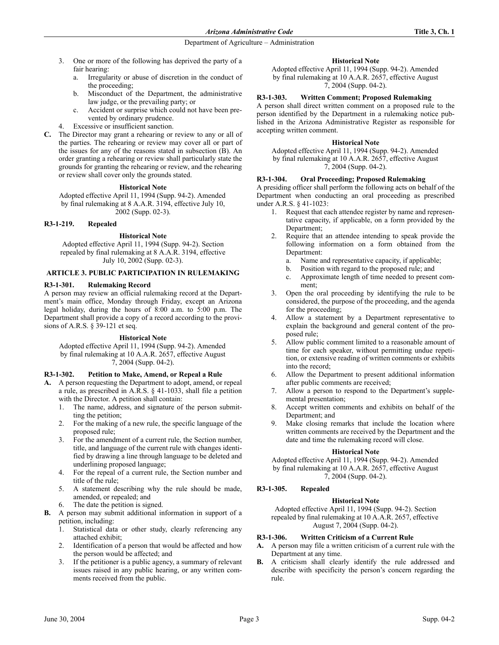- 3. One or more of the following has deprived the party of a fair hearing:
	- a. Irregularity or abuse of discretion in the conduct of the proceeding;
	- b. Misconduct of the Department, the administrative law judge, or the prevailing party; or
	- c. Accident or surprise which could not have been prevented by ordinary prudence.
	- Excessive or insufficient sanction.
- **C.** The Director may grant a rehearing or review to any or all of the parties. The rehearing or review may cover all or part of the issues for any of the reasons stated in subsection (B). An order granting a rehearing or review shall particularly state the grounds for granting the rehearing or review, and the rehearing or review shall cover only the grounds stated.

### **Historical Note**

Adopted effective April 11, 1994 (Supp. 94-2). Amended by final rulemaking at 8 A.A.R. 3194, effective July 10, 2002 (Supp. 02-3).

### **R3-1-219. Repealed**

### **Historical Note**

Adopted effective April 11, 1994 (Supp. 94-2). Section repealed by final rulemaking at 8 A.A.R. 3194, effective July 10, 2002 (Supp. 02-3).

### **ARTICLE 3. PUBLIC PARTICIPATION IN RULEMAKING**

### **R3-1-301. Rulemaking Record**

A person may review an official rulemaking record at the Department's main office, Monday through Friday, except an Arizona legal holiday, during the hours of 8:00 a.m. to 5:00 p.m. The Department shall provide a copy of a record according to the provisions of A.R.S. § 39-121 et seq.

### **Historical Note**

Adopted effective April 11, 1994 (Supp. 94-2). Amended by final rulemaking at 10 A.A.R. 2657, effective August 7, 2004 (Supp. 04-2).

### **R3-1-302. Petition to Make, Amend, or Repeal a Rule**

- **A.** A person requesting the Department to adopt, amend, or repeal a rule, as prescribed in A.R.S. § 41-1033, shall file a petition with the Director. A petition shall contain:
	- 1. The name, address, and signature of the person submitting the petition;
	- 2. For the making of a new rule, the specific language of the proposed rule;
	- 3. For the amendment of a current rule, the Section number, title, and language of the current rule with changes identified by drawing a line through language to be deleted and underlining proposed language;
	- 4. For the repeal of a current rule, the Section number and title of the rule;
	- 5. A statement describing why the rule should be made, amended, or repealed; and
	- The date the petition is signed.
- **B.** A person may submit additional information in support of a petition, including:
	- 1. Statistical data or other study, clearly referencing any attached exhibit;
	- 2. Identification of a person that would be affected and how the person would be affected; and
	- 3. If the petitioner is a public agency, a summary of relevant issues raised in any public hearing, or any written comments received from the public.

### **Historical Note**

Adopted effective April 11, 1994 (Supp. 94-2). Amended by final rulemaking at 10 A.A.R. 2657, effective August 7, 2004 (Supp. 04-2).

## **R3-1-303. Written Comment; Proposed Rulemaking**

A person shall direct written comment on a proposed rule to the person identified by the Department in a rulemaking notice published in the Arizona Administrative Register as responsible for accepting written comment.

### **Historical Note**

Adopted effective April 11, 1994 (Supp. 94-2). Amended by final rulemaking at 10 A.A.R. 2657, effective August 7, 2004 (Supp. 04-2).

# **R3-1-304. Oral Proceeding; Proposed Rulemaking**

A presiding officer shall perform the following acts on behalf of the Department when conducting an oral proceeding as prescribed under A.R.S. § 41-1023:

- 1. Request that each attendee register by name and representative capacity, if applicable, on a form provided by the Department;
- 2. Require that an attendee intending to speak provide the following information on a form obtained from the Department:
	- a. Name and representative capacity, if applicable;
	- b. Position with regard to the proposed rule; and
	- c. Approximate length of time needed to present comment;
- 3. Open the oral proceeding by identifying the rule to be considered, the purpose of the proceeding, and the agenda for the proceeding;
- 4. Allow a statement by a Department representative to explain the background and general content of the proposed rule;
- 5. Allow public comment limited to a reasonable amount of time for each speaker, without permitting undue repetition, or extensive reading of written comments or exhibits into the record;
- 6. Allow the Department to present additional information after public comments are received;
- 7. Allow a person to respond to the Department's supplemental presentation;
- 8. Accept written comments and exhibits on behalf of the Department; and
- 9. Make closing remarks that include the location where written comments are received by the Department and the date and time the rulemaking record will close.

### **Historical Note**

Adopted effective April 11, 1994 (Supp. 94-2). Amended by final rulemaking at 10 A.A.R. 2657, effective August 7, 2004 (Supp. 04-2).

## **R3-1-305. Repealed**

### **Historical Note**

Adopted effective April 11, 1994 (Supp. 94-2). Section repealed by final rulemaking at 10 A.A.R. 2657, effective August 7, 2004 (Supp. 04-2).

## **R3-1-306. Written Criticism of a Current Rule**

- **A.** A person may file a written criticism of a current rule with the Department at any time.
- **B.** A criticism shall clearly identify the rule addressed and describe with specificity the person's concern regarding the rule.